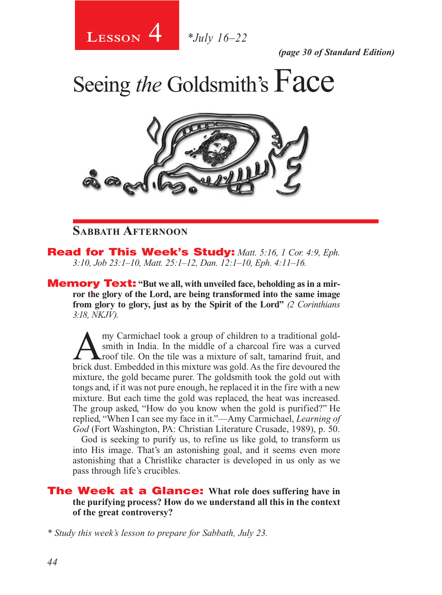4 **Lesson** *\*July 16–22*

*(page 30 of Standard Edition)*

Seeing *the* Goldsmith's Face



## **Sabbath Afternoon**

Read for This Week's Study: *Matt. 5:16, 1 Cor. 4:9, Eph. 3:10, Job 23:1–10, Matt. 25:1–12, Dan. 12:1–10, Eph. 4:11–16.*

**Memory Text:** "But we all, with unveiled face, beholding as in a mir**ror the glory of the Lord, are being transformed into the same image from glory to glory, just as by the Spirit of the Lord"** *(2 Corinthians 3:18, NKJV).* 

Amy Carmichael took a group of children to a traditional gold-<br>smith in India. In the middle of a charcoal fire was a curved<br>roof tile. On the tile was a mixture of salt, tamarind fruit, and<br>heick dust. Emhaddad in this mi smith in India. In the middle of a charcoal fire was a curved roof tile. On the tile was a mixture of salt, tamarind fruit, and brick dust. Embedded in this mixture was gold. As the fire devoured the mixture, the gold became purer. The goldsmith took the gold out with tongs and, if it was not pure enough, he replaced it in the fire with a new mixture. But each time the gold was replaced, the heat was increased. The group asked, "How do you know when the gold is purified?" He replied, "When I can see my face in it."—Amy Carmichael, *Learning of God* (Fort Washington, PA: Christian Literature Crusade, 1989), p. 50.

God is seeking to purify us, to refine us like gold, to transform us into His image. That's an astonishing goal, and it seems even more astonishing that a Christlike character is developed in us only as we pass through life's crucibles.

The Week at a Glance: **What role does suffering have in the purifying process? How do we understand all this in the context of the great controversy?**

*\* Study this week's lesson to prepare for Sabbath, July 23.*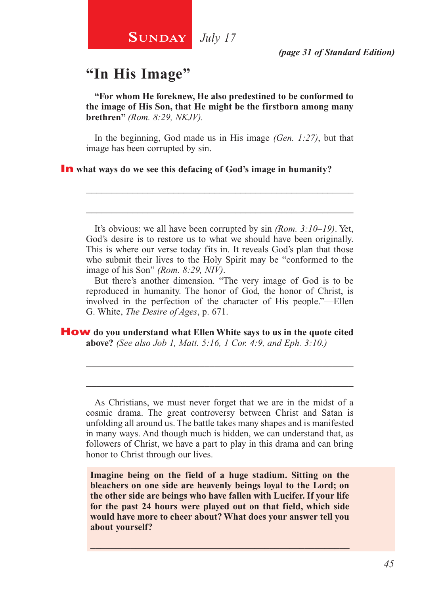# **"In His Image"**

**"For whom He foreknew, He also predestined to be conformed to the image of His Son, that He might be the firstborn among many brethren"** *(Rom. 8:29, NKJV).*

In the beginning, God made us in His image *(Gen. 1:27)*, but that image has been corrupted by sin.

\_\_\_\_\_\_\_\_\_\_\_\_\_\_\_\_\_\_\_\_\_\_\_\_\_\_\_\_\_\_\_\_\_\_\_\_\_\_\_\_\_\_\_\_\_\_\_\_\_\_\_\_

\_\_\_\_\_\_\_\_\_\_\_\_\_\_\_\_\_\_\_\_\_\_\_\_\_\_\_\_\_\_\_\_\_\_\_\_\_\_\_\_\_\_\_\_\_\_\_\_\_\_\_\_

#### In **what ways do we see this defacing of God's image in humanity?**

It's obvious: we all have been corrupted by sin *(Rom. 3:10–19)*. Yet, God's desire is to restore us to what we should have been originally. This is where our verse today fits in. It reveals God's plan that those who submit their lives to the Holy Spirit may be "conformed to the image of his Son" *(Rom. 8:29, NIV)*.

But there's another dimension. "The very image of God is to be reproduced in humanity. The honor of God, the honor of Christ, is involved in the perfection of the character of His people."—Ellen G. White, *The Desire of Ages*, p. 671.

How **do you understand what Ellen White says to us in the quote cited above?** *(See also Job 1, Matt. 5:16, 1 Cor. 4:9, and Eph. 3:10.)* 

As Christians, we must never forget that we are in the midst of a cosmic drama. The great controversy between Christ and Satan is unfolding all around us. The battle takes many shapes and is manifested in many ways. And though much is hidden, we can understand that, as followers of Christ, we have a part to play in this drama and can bring honor to Christ through our lives.

\_\_\_\_\_\_\_\_\_\_\_\_\_\_\_\_\_\_\_\_\_\_\_\_\_\_\_\_\_\_\_\_\_\_\_\_\_\_\_\_\_\_\_\_\_\_\_\_\_\_\_\_

\_\_\_\_\_\_\_\_\_\_\_\_\_\_\_\_\_\_\_\_\_\_\_\_\_\_\_\_\_\_\_\_\_\_\_\_\_\_\_\_\_\_\_\_\_\_\_\_\_\_\_\_

**Imagine being on the field of a huge stadium. Sitting on the bleachers on one side are heavenly beings loyal to the Lord; on the other side are beings who have fallen with Lucifer. If your life for the past 24 hours were played out on that field, which side would have more to cheer about? What does your answer tell you about yourself?**

 $\_$  , and the set of the set of the set of the set of the set of the set of the set of the set of the set of the set of the set of the set of the set of the set of the set of the set of the set of the set of the set of th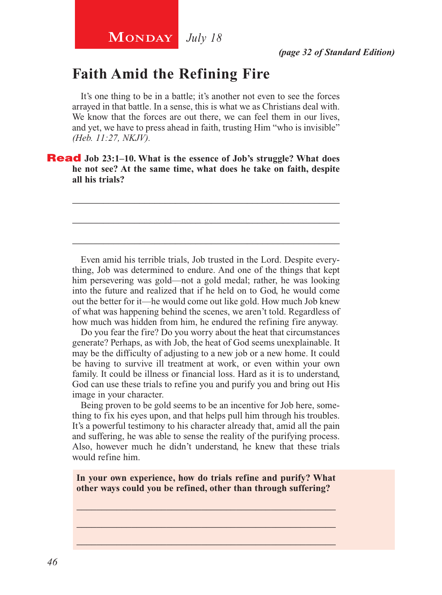# **Faith Amid the Refining Fire**

It's one thing to be in a battle; it's another not even to see the forces arrayed in that battle. In a sense, this is what we as Christians deal with. We know that the forces are out there, we can feel them in our lives, and yet, we have to press ahead in faith, trusting Him "who is invisible" *(Heb. 11:27, NKJV).*

\_\_\_\_\_\_\_\_\_\_\_\_\_\_\_\_\_\_\_\_\_\_\_\_\_\_\_\_\_\_\_\_\_\_\_\_\_\_\_\_\_\_\_\_\_\_\_\_\_\_\_\_

\_\_\_\_\_\_\_\_\_\_\_\_\_\_\_\_\_\_\_\_\_\_\_\_\_\_\_\_\_\_\_\_\_\_\_\_\_\_\_\_\_\_\_\_\_\_\_\_\_\_\_\_

\_\_\_\_\_\_\_\_\_\_\_\_\_\_\_\_\_\_\_\_\_\_\_\_\_\_\_\_\_\_\_\_\_\_\_\_\_\_\_\_\_\_\_\_\_\_\_\_\_\_\_\_

Read **Job 23:1–10. What is the essence of Job's struggle? What does he not see? At the same time, what does he take on faith, despite all his trials?**

Even amid his terrible trials, Job trusted in the Lord. Despite everything, Job was determined to endure. And one of the things that kept him persevering was gold—not a gold medal; rather, he was looking into the future and realized that if he held on to God, he would come out the better for it—he would come out like gold. How much Job knew of what was happening behind the scenes, we aren't told. Regardless of how much was hidden from him, he endured the refining fire anyway.

Do you fear the fire? Do you worry about the heat that circumstances generate? Perhaps, as with Job, the heat of God seems unexplainable. It may be the difficulty of adjusting to a new job or a new home. It could be having to survive ill treatment at work, or even within your own family. It could be illness or financial loss. Hard as it is to understand, God can use these trials to refine you and purify you and bring out His image in your character.

Being proven to be gold seems to be an incentive for Job here, something to fix his eyes upon, and that helps pull him through his troubles. It's a powerful testimony to his character already that, amid all the pain and suffering, he was able to sense the reality of the purifying process. Also, however much he didn't understand, he knew that these trials would refine him.

**In your own experience, how do trials refine and purify? What other ways could you be refined, other than through suffering?** 

\_\_\_\_\_\_\_\_\_\_\_\_\_\_\_\_\_\_\_\_\_\_\_\_\_\_\_\_\_\_\_\_\_\_\_\_\_\_\_\_\_\_\_\_\_\_\_\_\_\_\_\_ \_\_\_\_\_\_\_\_\_\_\_\_\_\_\_\_\_\_\_\_\_\_\_\_\_\_\_\_\_\_\_\_\_\_\_\_\_\_\_\_\_\_\_\_\_\_\_\_\_\_\_\_ \_\_\_\_\_\_\_\_\_\_\_\_\_\_\_\_\_\_\_\_\_\_\_\_\_\_\_\_\_\_\_\_\_\_\_\_\_\_\_\_\_\_\_\_\_\_\_\_\_\_\_\_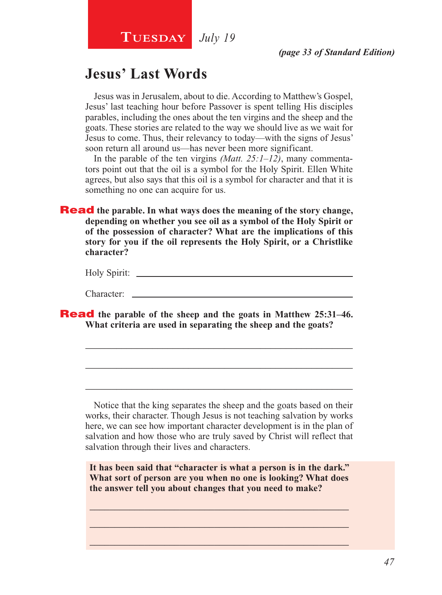# **Jesus' Last Words**

Jesus was in Jerusalem, about to die. According to Matthew's Gospel, Jesus' last teaching hour before Passover is spent telling His disciples parables, including the ones about the ten virgins and the sheep and the goats. These stories are related to the way we should live as we wait for Jesus to come. Thus, their relevancy to today—with the signs of Jesus' soon return all around us—has never been more significant.

In the parable of the ten virgins *(Matt. 25:1–12)*, many commentators point out that the oil is a symbol for the Holy Spirit. Ellen White agrees, but also says that this oil is a symbol for character and that it is something no one can acquire for us.

**Read** the parable. In what ways does the meaning of the story change, **depending on whether you see oil as a symbol of the Holy Spirit or of the possession of character? What are the implications of this story for you if the oil represents the Holy Spirit, or a Christlike character?**

| Holy Spirit: |  |
|--------------|--|
|              |  |

\_\_\_\_\_\_\_\_\_\_\_\_\_\_\_\_\_\_\_\_\_\_\_\_\_\_\_\_\_\_\_\_\_\_\_\_\_\_\_\_\_\_\_\_\_\_\_\_\_\_\_\_

\_\_\_\_\_\_\_\_\_\_\_\_\_\_\_\_\_\_\_\_\_\_\_\_\_\_\_\_\_\_\_\_\_\_\_\_\_\_\_\_\_\_\_\_\_\_\_\_\_\_\_\_

\_\_\_\_\_\_\_\_\_\_\_\_\_\_\_\_\_\_\_\_\_\_\_\_\_\_\_\_\_\_\_\_\_\_\_\_\_\_\_\_\_\_\_\_\_\_\_\_\_\_\_\_

Character:

Read **the parable of the sheep and the goats in Matthew 25:31–46. What criteria are used in separating the sheep and the goats?**

Notice that the king separates the sheep and the goats based on their works, their character. Though Jesus is not teaching salvation by works here, we can see how important character development is in the plan of salvation and how those who are truly saved by Christ will reflect that salvation through their lives and characters.

**It has been said that "character is what a person is in the dark." What sort of person are you when no one is looking? What does the answer tell you about changes that you need to make?**

\_\_\_\_\_\_\_\_\_\_\_\_\_\_\_\_\_\_\_\_\_\_\_\_\_\_\_\_\_\_\_\_\_\_\_\_\_\_\_\_\_\_\_\_\_\_\_\_\_\_\_\_ \_\_\_\_\_\_\_\_\_\_\_\_\_\_\_\_\_\_\_\_\_\_\_\_\_\_\_\_\_\_\_\_\_\_\_\_\_\_\_\_\_\_\_\_\_\_\_\_\_\_\_\_ \_\_\_\_\_\_\_\_\_\_\_\_\_\_\_\_\_\_\_\_\_\_\_\_\_\_\_\_\_\_\_\_\_\_\_\_\_\_\_\_\_\_\_\_\_\_\_\_\_\_\_\_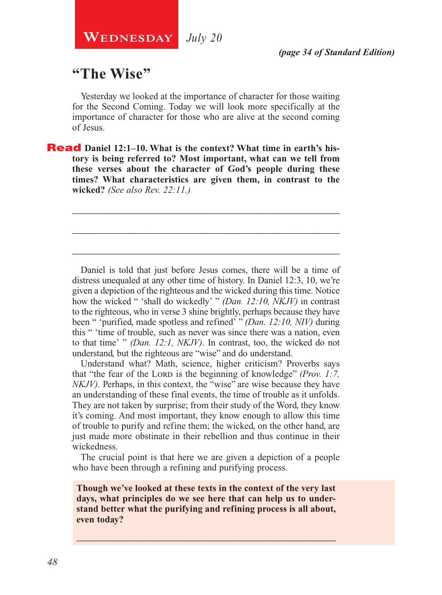# **"The Wise"**

Yesterday we looked at the importance of character for those waiting for the Second Coming. Today we will look more specifically at the importance of character for those who are alive at the second coming of Jesus.

\_\_\_\_\_\_\_\_\_\_\_\_\_\_\_\_\_\_\_\_\_\_\_\_\_\_\_\_\_\_\_\_\_\_\_\_\_\_\_\_\_\_\_\_\_\_\_\_\_\_\_\_

\_\_\_\_\_\_\_\_\_\_\_\_\_\_\_\_\_\_\_\_\_\_\_\_\_\_\_\_\_\_\_\_\_\_\_\_\_\_\_\_\_\_\_\_\_\_\_\_\_\_\_\_

\_\_\_\_\_\_\_\_\_\_\_\_\_\_\_\_\_\_\_\_\_\_\_\_\_\_\_\_\_\_\_\_\_\_\_\_\_\_\_\_\_\_\_\_\_\_\_\_\_\_\_\_

**Read** Daniel 12:1–10. What is the context? What time in earth's his**tory is being referred to? Most important, what can we tell from these verses about the character of God's people during these times? What characteristics are given them, in contrast to the wicked?** *(See also Rev. 22:11.)*

Daniel is told that just before Jesus comes, there will be a time of distress unequaled at any other time of history. In Daniel 12:3, 10, we're given a depiction of the righteous and the wicked during this time. Notice how the wicked " 'shall do wickedly' " *(Dan. 12:10, NKJV)* in contrast to the righteous, who in verse 3 shine brightly, perhaps because they have been " 'purified, made spotless and refined' " *(Dan. 12:10, NIV)* during this " 'time of trouble, such as never was since there was a nation, even to that time' " *(Dan. 12:1, NKJV)*. In contrast, too, the wicked do not understand, but the righteous are "wise" and do understand.

Understand what? Math, science, higher criticism? Proverbs says that "the fear of the LORD is the beginning of knowledge" *(Prov. 1:7, the team of the LORD is the beginning of knowledge*" *(Prov. 1:7, the team of the LORD is the beginning of knowledge*" *(Prov. 1:7, the team of the LO NKJV*). Perhaps, in this context, the "wise" are wise because they have an understanding of these final events, the time of trouble as it unfolds. They are not taken by surprise; from their study of the Word, they know it's coming. And most important, they know enough to allow this time of trouble to purify and refine them; the wicked, on the other hand, are just made more obstinate in their rebellion and thus continue in their wickedness.

The crucial point is that here we are given a depiction of a people who have been through a refining and purifying process.

**Though we've looked at these texts in the context of the very last days, what principles do we see here that can help us to understand better what the purifying and refining process is all about, even today?**

\_\_\_\_\_\_\_\_\_\_\_\_\_\_\_\_\_\_\_\_\_\_\_\_\_\_\_\_\_\_\_\_\_\_\_\_\_\_\_\_\_\_\_\_\_\_\_\_\_\_\_\_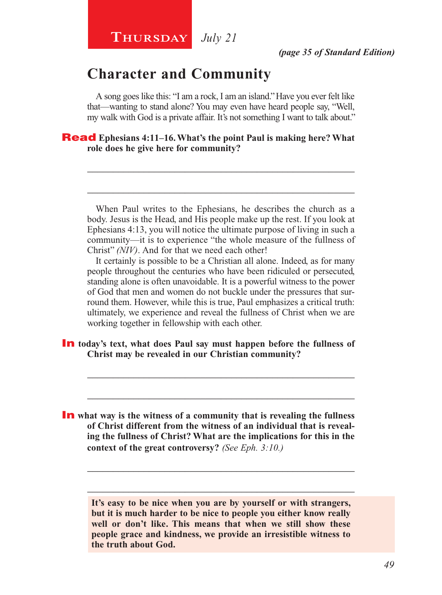## **Character and Community**

A song goes like this: "I am a rock, I am an island." Have you ever felt like that—wanting to stand alone? You may even have heard people say, "Well, my walk with God is a private affair. It's not something I want to talk about."

\_\_\_\_\_\_\_\_\_\_\_\_\_\_\_\_\_\_\_\_\_\_\_\_\_\_\_\_\_\_\_\_\_\_\_\_\_\_\_\_\_\_\_\_\_\_\_\_\_\_\_\_

\_\_\_\_\_\_\_\_\_\_\_\_\_\_\_\_\_\_\_\_\_\_\_\_\_\_\_\_\_\_\_\_\_\_\_\_\_\_\_\_\_\_\_\_\_\_\_\_\_\_\_\_

#### Read **Ephesians 4:11–16. What's the point Paul is making here? What role does he give here for community?**

When Paul writes to the Ephesians, he describes the church as a body. Jesus is the Head, and His people make up the rest. If you look at Ephesians 4:13, you will notice the ultimate purpose of living in such a community—it is to experience "the whole measure of the fullness of Christ" *(NIV)*. And for that we need each other!

It certainly is possible to be a Christian all alone. Indeed, as for many people throughout the centuries who have been ridiculed or persecuted, standing alone is often unavoidable. It is a powerful witness to the power of God that men and women do not buckle under the pressures that surround them. However, while this is true, Paul emphasizes a critical truth: ultimately, we experience and reveal the fullness of Christ when we are working together in fellowship with each other.

\_\_\_\_\_\_\_\_\_\_\_\_\_\_\_\_\_\_\_\_\_\_\_\_\_\_\_\_\_\_\_\_\_\_\_\_\_\_\_\_\_\_\_\_\_\_\_\_\_\_\_\_

\_\_\_\_\_\_\_\_\_\_\_\_\_\_\_\_\_\_\_\_\_\_\_\_\_\_\_\_\_\_\_\_\_\_\_\_\_\_\_\_\_\_\_\_\_\_\_\_\_\_\_\_

In **today's text, what does Paul say must happen before the fullness of Christ may be revealed in our Christian community?**

**In** what way is the witness of a community that is revealing the fullness **of Christ different from the witness of an individual that is revealing the fullness of Christ? What are the implications for this in the context of the great controversy?** *(See Eph. 3:10.)*

> **It's easy to be nice when you are by yourself or with strangers, but it is much harder to be nice to people you either know really well or don't like. This means that when we still show these people grace and kindness, we provide an irresistible witness to the truth about God.**

\_\_\_\_\_\_\_\_\_\_\_\_\_\_\_\_\_\_\_\_\_\_\_\_\_\_\_\_\_\_\_\_\_\_\_\_\_\_\_\_\_\_\_\_\_\_\_\_\_\_\_\_

\_\_\_\_\_\_\_\_\_\_\_\_\_\_\_\_\_\_\_\_\_\_\_\_\_\_\_\_\_\_\_\_\_\_\_\_\_\_\_\_\_\_\_\_\_\_\_\_\_\_\_\_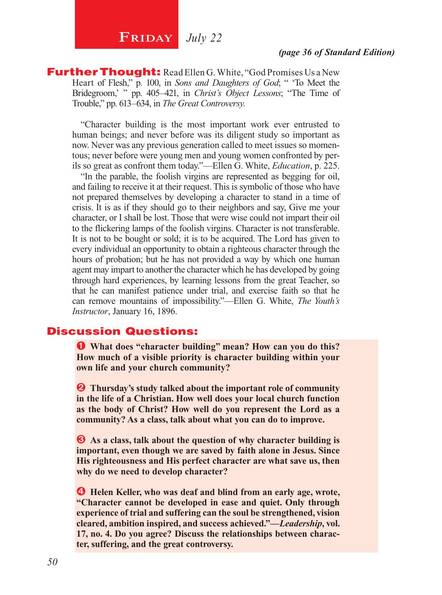# **FRIDAY** July 22

#### *(page 36 of Standard Edition)*

**Further Thought:** Read Ellen G. White, "God Promises Us a New Heart of Flesh," p. 100, in *Sons and Daughters of God*; " To Meet the Bridegroom,' " pp. 405–421, in *Christ's Object Lessons*; "The Time of Trouble," pp. 613–634, in *The Great Controversy.* 

"Character building is the most important work ever entrusted to human beings; and never before was its diligent study so important as now. Never was any previous generation called to meet issues so momentous; never before were young men and young women confronted by perils so great as confront them today."—Ellen G. White, *Education*, p. 225.

"In the parable, the foolish virgins are represented as begging for oil, and failing to receive it at their request. This is symbolic of those who have not prepared themselves by developing a character to stand in a time of crisis. It is as if they should go to their neighbors and say, Give me your character, or I shall be lost. Those that were wise could not impart their oil to the flickering lamps of the foolish virgins. Character is not transferable. It is not to be bought or sold; it is to be acquired. The Lord has given to every individual an opportunity to obtain a righteous character through the hours of probation; but he has not provided a way by which one human agent may impart to another the character which he has developed by going through hard experiences, by learning lessons from the great Teacher, so that he can manifest patience under trial, and exercise faith so that he can remove mountains of impossibility."—Ellen G. White, *The Youth's Instructor*, January 16, 1896.

#### Discussion Questions:

Ê **What does "character building" mean? How can you do this? How much of a visible priority is character building within your own life and your church community?**

 $\bullet$  Thursday's study talked about the important role of community **in the life of a Christian. How well does your local church function as the body of Christ? How well do you represent the Lord as a community? As a class, talk about what you can do to improve.**

 $\bullet$  As a class, talk about the question of why character building is **important, even though we are saved by faith alone in Jesus. Since His righteousness and His perfect character are what save us, then why do we need to develop character?**

*Helen Keller, who was deaf and blind from an early age, wrote,* **"Character cannot be developed in ease and quiet. Only through experience of trial and suffering can the soul be strengthened, vision cleared, ambition inspired, and success achieved."—***Leadership***, vol. 17, no. 4. Do you agree? Discuss the relationships between character, suffering, and the great controversy.**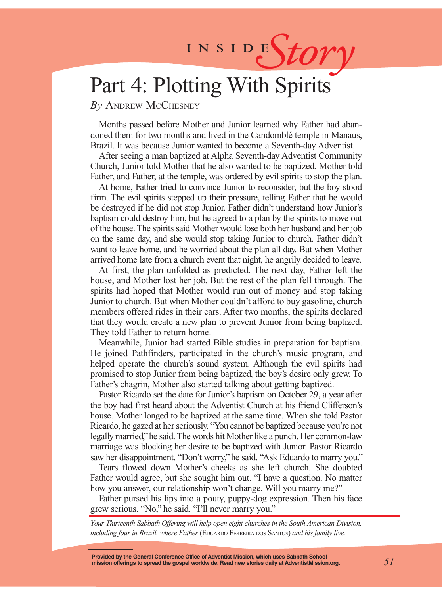# INSIDES*tory*

# Part 4: Plotting With Spirits

*By* Andrew McChesney

Months passed before Mother and Junior learned why Father had abandoned them for two months and lived in the Candomblé temple in Manaus, Brazil. It was because Junior wanted to become a Seventh-day Adventist.

After seeing a man baptized at Alpha Seventh-day Adventist Community Church, Junior told Mother that he also wanted to be baptized. Mother told Father, and Father, at the temple, was ordered by evil spirits to stop the plan.

At home, Father tried to convince Junior to reconsider, but the boy stood firm. The evil spirits stepped up their pressure, telling Father that he would be destroyed if he did not stop Junior. Father didn't understand how Junior's baptism could destroy him, but he agreed to a plan by the spirits to move out of the house. The spirits said Mother would lose both her husband and her job on the same day, and she would stop taking Junior to church. Father didn't want to leave home, and he worried about the plan all day. But when Mother arrived home late from a church event that night, he angrily decided to leave.

At first, the plan unfolded as predicted. The next day, Father left the house, and Mother lost her job. But the rest of the plan fell through. The spirits had hoped that Mother would run out of money and stop taking Junior to church. But when Mother couldn't afford to buy gasoline, church members offered rides in their cars. After two months, the spirits declared that they would create a new plan to prevent Junior from being baptized. They told Father to return home.

Meanwhile, Junior had started Bible studies in preparation for baptism. He joined Pathfinders, participated in the church's music program, and helped operate the church's sound system. Although the evil spirits had promised to stop Junior from being baptized, the boy's desire only grew. To Father's chagrin, Mother also started talking about getting baptized.

Pastor Ricardo set the date for Junior's baptism on October 29, a year after the boy had first heard about the Adventist Church at his friend Clifferson's house. Mother longed to be baptized at the same time. When she told Pastor Ricardo, he gazed at her seriously. "You cannot be baptized because you're not legally married," he said. The words hit Mother like a punch. Her common-law marriage was blocking her desire to be baptized with Junior. Pastor Ricardo saw her disappointment. "Don't worry," he said. "Ask Eduardo to marry you."

Tears flowed down Mother's cheeks as she left church. She doubted Father would agree, but she sought him out. "I have a question. No matter how you answer, our relationship won't change. Will you marry me?"

Father pursed his lips into a pouty, puppy-dog expression. Then his face grew serious. "No," he said. "I'll never marry you."

*Your Thirteenth Sabbath Offering will help open eight churches in the South American Division, including four in Brazil, where Father* (EDUARDO FERREIRA DOS SANTOS) and his family live.

**Provided by the General Conference Office of Adventist Mission, which uses Sabbath School mission offerings to spread the gospel worldwide. Read new stories daily at AdventistMission.org.**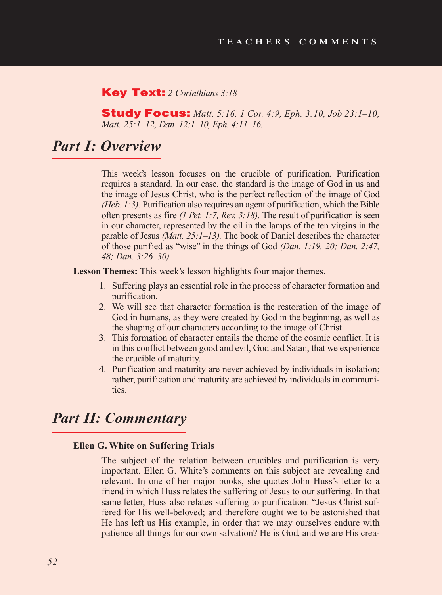#### Key Text: *2 Corinthians 3:18*

Study Focus: *Matt. 5:16, 1 Cor. 4:9, Eph. 3:10, Job 23:1–10, Matt. 25:1–12, Dan. 12:1–10, Eph. 4:11–16.*

# *Part I: Overview*

This week's lesson focuses on the crucible of purification. Purification requires a standard. In our case, the standard is the image of God in us and the image of Jesus Christ, who is the perfect reflection of the image of God *(Heb. 1:3).* Purification also requires an agent of purification, which the Bible often presents as fire *(1 Pet. 1:7, Rev. 3:18).* The result of purification is seen in our character, represented by the oil in the lamps of the ten virgins in the parable of Jesus *(Matt. 25:1–13).* The book of Daniel describes the character of those purified as "wise" in the things of God *(Dan. 1:19, 20; Dan. 2:47, 48; Dan. 3:26–30).*

**Lesson Themes:** This week's lesson highlights four major themes.

- 1. Suffering plays an essential role in the process of character formation and purification.
- 2. We will see that character formation is the restoration of the image of God in humans, as they were created by God in the beginning, as well as the shaping of our characters according to the image of Christ.
- 3. This formation of character entails the theme of the cosmic conflict. It is in this conflict between good and evil, God and Satan, that we experience the crucible of maturity.
- 4. Purification and maturity are never achieved by individuals in isolation; rather, purification and maturity are achieved by individuals in communities.

# *Part II: Commentary*

#### **Ellen G. White on Suffering Trials**

The subject of the relation between crucibles and purification is very important. Ellen G. White's comments on this subject are revealing and relevant. In one of her major books, she quotes John Huss's letter to a friend in which Huss relates the suffering of Jesus to our suffering. In that same letter, Huss also relates suffering to purification: "Jesus Christ suffered for His well-beloved; and therefore ought we to be astonished that He has left us His example, in order that we may ourselves endure with patience all things for our own salvation? He is God, and we are His crea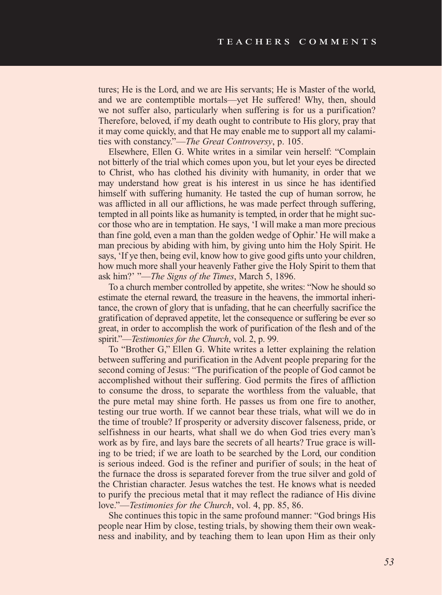tures; He is the Lord, and we are His servants; He is Master of the world, and we are contemptible mortals—yet He suffered! Why, then, should we not suffer also, particularly when suffering is for us a purification? Therefore, beloved, if my death ought to contribute to His glory, pray that it may come quickly, and that He may enable me to support all my calamities with constancy."—*The Great Controversy*, p. 105.

Elsewhere, Ellen G. White writes in a similar vein herself: "Complain not bitterly of the trial which comes upon you, but let your eyes be directed to Christ, who has clothed his divinity with humanity, in order that we may understand how great is his interest in us since he has identified himself with suffering humanity. He tasted the cup of human sorrow, he was afflicted in all our afflictions, he was made perfect through suffering, tempted in all points like as humanity is tempted, in order that he might succor those who are in temptation. He says, 'I will make a man more precious than fine gold, even a man than the golden wedge of Ophir.' He will make a man precious by abiding with him, by giving unto him the Holy Spirit. He says, 'If ye then, being evil, know how to give good gifts unto your children, how much more shall your heavenly Father give the Holy Spirit to them that ask him?' "—*The Signs of the Times*, March 5, 1896.

To a church member controlled by appetite, she writes: "Now he should so estimate the eternal reward, the treasure in the heavens, the immortal inheritance, the crown of glory that is unfading, that he can cheerfully sacrifice the gratification of depraved appetite, let the consequence or suffering be ever so great, in order to accomplish the work of purification of the flesh and of the spirit."—*Testimonies for the Church*, vol. 2, p. 99.

To "Brother G," Ellen G. White writes a letter explaining the relation between suffering and purification in the Advent people preparing for the second coming of Jesus: "The purification of the people of God cannot be accomplished without their suffering. God permits the fires of affliction to consume the dross, to separate the worthless from the valuable, that the pure metal may shine forth. He passes us from one fire to another, testing our true worth. If we cannot bear these trials, what will we do in the time of trouble? If prosperity or adversity discover falseness, pride, or selfishness in our hearts, what shall we do when God tries every man's work as by fire, and lays bare the secrets of all hearts? True grace is willing to be tried; if we are loath to be searched by the Lord, our condition is serious indeed. God is the refiner and purifier of souls; in the heat of the furnace the dross is separated forever from the true silver and gold of the Christian character. Jesus watches the test. He knows what is needed to purify the precious metal that it may reflect the radiance of His divine love."—*Testimonies for the Church*, vol. 4, pp. 85, 86.

She continues this topic in the same profound manner: "God brings His people near Him by close, testing trials, by showing them their own weakness and inability, and by teaching them to lean upon Him as their only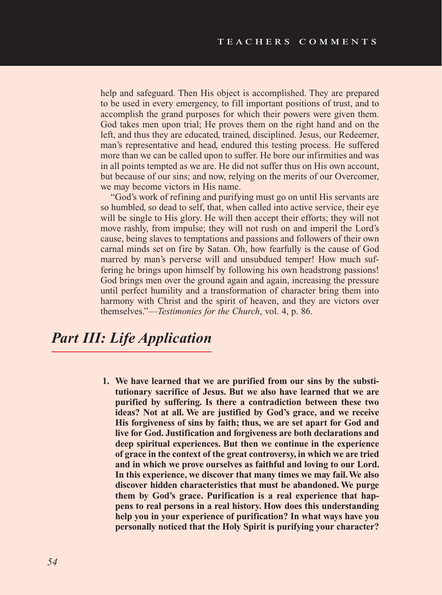help and safeguard. Then His object is accomplished. They are prepared to be used in every emergency, to fill important positions of trust, and to accomplish the grand purposes for which their powers were given them. God takes men upon trial; He proves them on the right hand and on the left, and thus they are educated, trained, disciplined. Jesus, our Redeemer, man's representative and head, endured this testing process. He suffered more than we can be called upon to suffer. He bore our infirmities and was in all points tempted as we are. He did not suffer thus on His own account, but because of our sins; and now, relying on the merits of our Overcomer, we may become victors in His name.

"God's work of refining and purifying must go on until His servants are so humbled, so dead to self, that, when called into active service, their eye will be single to His glory. He will then accept their efforts; they will not move rashly, from impulse; they will not rush on and imperil the Lord's cause, being slaves to temptations and passions and followers of their own carnal minds set on fire by Satan. Oh, how fearfully is the cause of God marred by man's perverse will and unsubdued temper! How much suffering he brings upon himself by following his own headstrong passions! God brings men over the ground again and again, increasing the pressure until perfect humility and a transformation of character bring them into harmony with Christ and the spirit of heaven, and they are victors over themselves."—*Testimonies for the Church*, vol. 4, p. 86.

# *Part III: Life Application*

**1. We have learned that we are purified from our sins by the substitutionary sacrifice of Jesus. But we also have learned that we are purified by suffering. Is there a contradiction between these two ideas? Not at all. We are justified by God's grace, and we receive His forgiveness of sins by faith; thus, we are set apart for God and live for God. Justification and forgiveness are both declarations and deep spiritual experiences. But then we continue in the experience of grace in the context of the great controversy, in which we are tried and in which we prove ourselves as faithful and loving to our Lord. In this experience, we discover that many times we may fail. We also discover hidden characteristics that must be abandoned. We purge them by God's grace. Purification is a real experience that happens to real persons in a real history. How does this understanding help you in your experience of purification? In what ways have you personally noticed that the Holy Spirit is purifying your character?**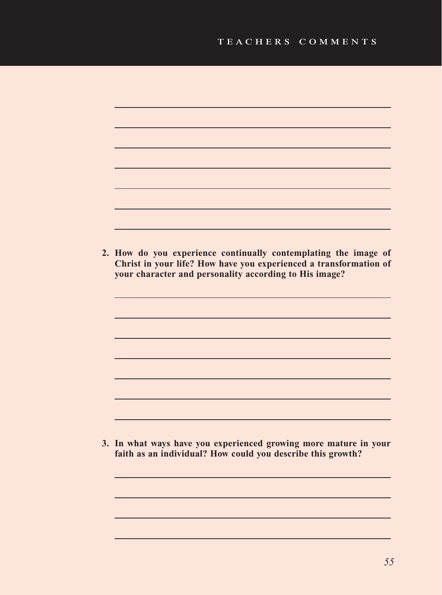| 2. How do you experience continually contemplating the image of Christ in your life? How have you experienced a transformation of<br>your character and personality according to His image? |
|---------------------------------------------------------------------------------------------------------------------------------------------------------------------------------------------|
|                                                                                                                                                                                             |
|                                                                                                                                                                                             |
|                                                                                                                                                                                             |
| 3. In what ways have you experienced growing more mature in your<br>faith as an individual? How could you describe this growth?                                                             |